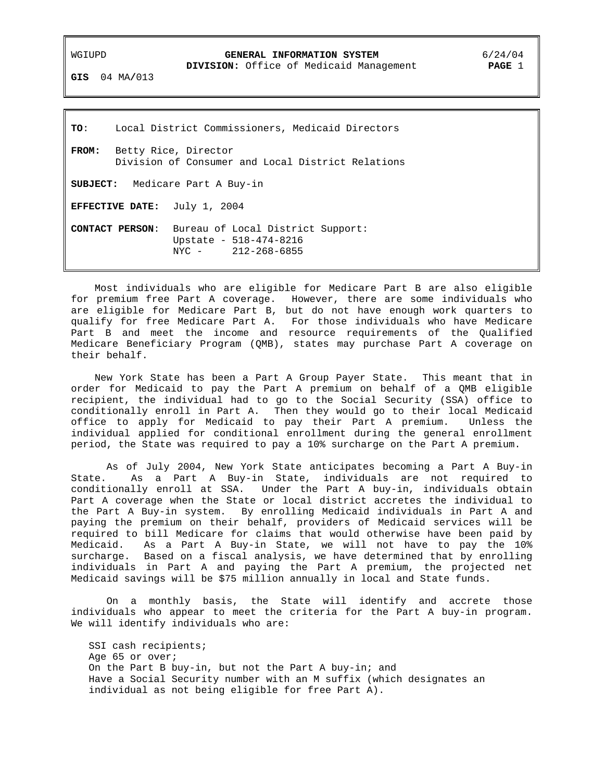### WGIUPD **GENERAL INFORMATION SYSTEM** 6/24/04

 **DIVISION:** Office of Medicaid Management **PAGE** 1

**GIS** 04 MA**/**013

**TO**: Local District Commissioners, Medicaid Directors **FROM:** Betty Rice, Director Division of Consumer and Local District Relations **SUBJECT:** Medicare Part A Buy-in **EFFECTIVE DATE:** July 1, 2004 **CONTACT PERSON**: Bureau of Local District Support: Upstate - 518-474-8216 NYC - 212-268-6855

 Most individuals who are eligible for Medicare Part B are also eligible for premium free Part A coverage. However, there are some individuals who are eligible for Medicare Part B, but do not have enough work quarters to qualify for free Medicare Part A. For those individuals who have Medicare Part B and meet the income and resource requirements of the Qualified Medicare Beneficiary Program (QMB), states may purchase Part A coverage on their behalf.

 New York State has been a Part A Group Payer State. This meant that in order for Medicaid to pay the Part A premium on behalf of a QMB eligible recipient, the individual had to go to the Social Security (SSA) office to conditionally enroll in Part A. Then they would go to their local Medicaid office to apply for Medicaid to pay their Part A premium. Unless the individual applied for conditional enrollment during the general enrollment period, the State was required to pay a 10% surcharge on the Part A premium.

 As of July 2004, New York State anticipates becoming a Part A Buy-in State. As a Part A Buy-in State, individuals are not required to conditionally enroll at SSA. Under the Part A buy-in, individuals obtain Part A coverage when the State or local district accretes the individual to the Part A Buy-in system. By enrolling Medicaid individuals in Part A and paying the premium on their behalf, providers of Medicaid services will be required to bill Medicare for claims that would otherwise have been paid by Medicaid. As a Part A Buy-in State, we will not have to pay the 10% surcharge. Based on a fiscal analysis, we have determined that by enrolling individuals in Part A and paying the Part A premium, the projected net Medicaid savings will be \$75 million annually in local and State funds.

 On a monthly basis, the State will identify and accrete those individuals who appear to meet the criteria for the Part A buy-in program. We will identify individuals who are:

SSI cash recipients; Age 65 or over; On the Part B buy-in, but not the Part A buy-in; and Have a Social Security number with an M suffix (which designates an individual as not being eligible for free Part A).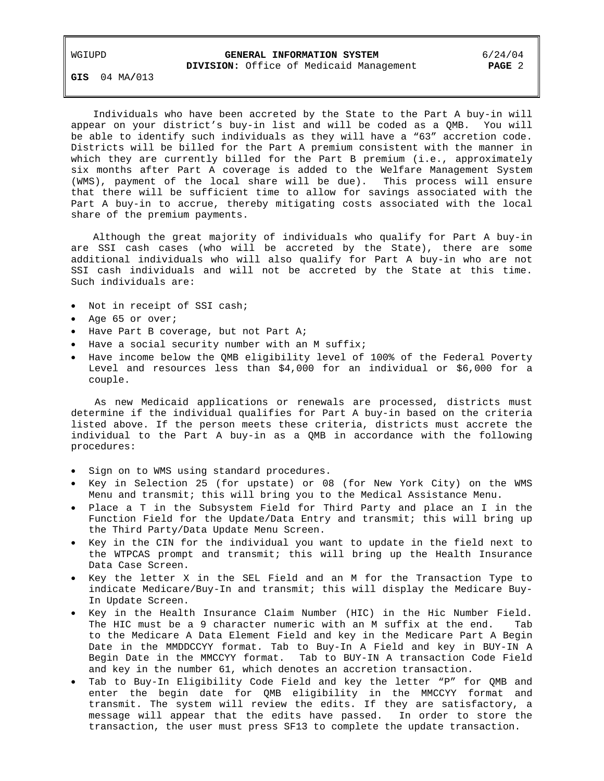## WGIUPD **GENERAL INFORMATION SYSTEM** 6/24/04  **DIVISION:** Office of Medicaid Management **PAGE** 2

**GIS** 04 MA**/**013

 Individuals who have been accreted by the State to the Part A buy-in will appear on your district's buy-in list and will be coded as a QMB. You will be able to identify such individuals as they will have a "63" accretion code. Districts will be billed for the Part A premium consistent with the manner in which they are currently billed for the Part B premium (i.e., approximately six months after Part A coverage is added to the Welfare Management System (WMS), payment of the local share will be due). This process will ensure that there will be sufficient time to allow for savings associated with the Part A buy-in to accrue, thereby mitigating costs associated with the local share of the premium payments.

 Although the great majority of individuals who qualify for Part A buy-in are SSI cash cases (who will be accreted by the State), there are some additional individuals who will also qualify for Part A buy-in who are not SSI cash individuals and will not be accreted by the State at this time. Such individuals are:

- Not in receipt of SSI cash;
- Age 65 or over;
- Have Part B coverage, but not Part A;
- Have a social security number with an M suffix;
- Have income below the QMB eligibility level of 100% of the Federal Poverty Level and resources less than \$4,000 for an individual or \$6,000 for a couple.

 As new Medicaid applications or renewals are processed, districts must determine if the individual qualifies for Part A buy-in based on the criteria listed above. If the person meets these criteria, districts must accrete the individual to the Part A buy-in as a QMB in accordance with the following procedures:

- Sign on to WMS using standard procedures.
- Key in Selection 25 (for upstate) or 08 (for New York City) on the WMS Menu and transmit; this will bring you to the Medical Assistance Menu.
- Place a T in the Subsystem Field for Third Party and place an I in the Function Field for the Update/Data Entry and transmit; this will bring up the Third Party/Data Update Menu Screen.
- Key in the CIN for the individual you want to update in the field next to the WTPCAS prompt and transmit; this will bring up the Health Insurance Data Case Screen.
- Key the letter X in the SEL Field and an M for the Transaction Type to indicate Medicare/Buy-In and transmit; this will display the Medicare Buy-In Update Screen.
- Key in the Health Insurance Claim Number (HIC) in the Hic Number Field. The HIC must be a 9 character numeric with an M suffix at the end. Tab to the Medicare A Data Element Field and key in the Medicare Part A Begin Date in the MMDDCCYY format. Tab to Buy-In A Field and key in BUY-IN A Begin Date in the MMCCYY format. Tab to BUY-IN A transaction Code Field and key in the number 61, which denotes an accretion transaction.
- Tab to Buy-In Eligibility Code Field and key the letter "P" for QMB and enter the begin date for QMB eligibility in the MMCCYY format and transmit. The system will review the edits. If they are satisfactory, a message will appear that the edits have passed. In order to store the transaction, the user must press SF13 to complete the update transaction.